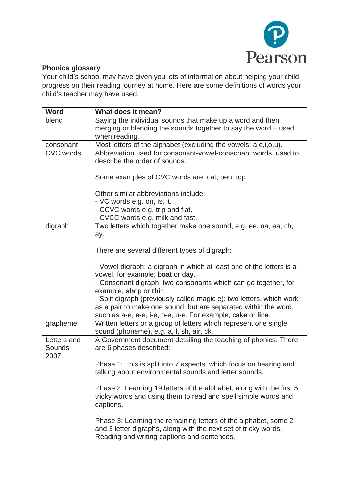

## **Phonics glossary**

Your child's school may have given you lots of information about helping your child progress on their reading journey at home. Here are some definitions of words your child's teacher may have used.

| <b>Word</b>      | What does it mean?                                                   |
|------------------|----------------------------------------------------------------------|
| blend            | Saying the individual sounds that make up a word and then            |
|                  | merging or blending the sounds together to say the word – used       |
|                  | when reading.                                                        |
| consonant        | Most letters of the alphabet (excluding the vowels: a,e,i,o,u).      |
| <b>CVC</b> words | Abbreviation used for consonant-vowel-consonant words, used to       |
|                  | describe the order of sounds.                                        |
|                  |                                                                      |
|                  | Some examples of CVC words are: cat, pen, top                        |
|                  |                                                                      |
|                  | Other similar abbreviations include:                                 |
|                  | - VC words e.g. on, is, it.                                          |
|                  | - CCVC words e.g. trip and flat.                                     |
|                  | - CVCC words e.g. milk and fast.                                     |
| digraph          | Two letters which together make one sound, e.g. ee, oa, ea, ch,      |
|                  | ay.                                                                  |
|                  |                                                                      |
|                  | There are several different types of digraph:                        |
|                  |                                                                      |
|                  | - Vowel digraph: a digraph in which at least one of the letters is a |
|                  | vowel, for example; boat or day.                                     |
|                  | - Consonant digraph: two consonants which can go together, for       |
|                  | example, shop or thin.                                               |
|                  | - Split digraph (previously called magic e): two letters, which work |
|                  | as a pair to make one sound, but are separated within the word,      |
|                  | such as a-e, e-e, i-e, o-e, u-e. For example, cake or line.          |
| grapheme         | Written letters or a group of letters which represent one single     |
|                  | sound (phoneme), e.g. a, l, sh, air, ck.                             |
| Letters and      | A Government document detailing the teaching of phonics. There       |
| Sounds           | are 6 phases described:                                              |
| 2007             |                                                                      |
|                  | Phase 1: This is split into 7 aspects, which focus on hearing and    |
|                  | talking about environmental sounds and letter sounds.                |
|                  |                                                                      |
|                  | Phase 2: Learning 19 letters of the alphabet, along with the first 5 |
|                  | tricky words and using them to read and spell simple words and       |
|                  | captions.                                                            |
|                  |                                                                      |
|                  | Phase 3: Learning the remaining letters of the alphabet, some 2      |
|                  | and 3 letter digraphs, along with the next set of tricky words.      |
|                  | Reading and writing captions and sentences.                          |
|                  |                                                                      |